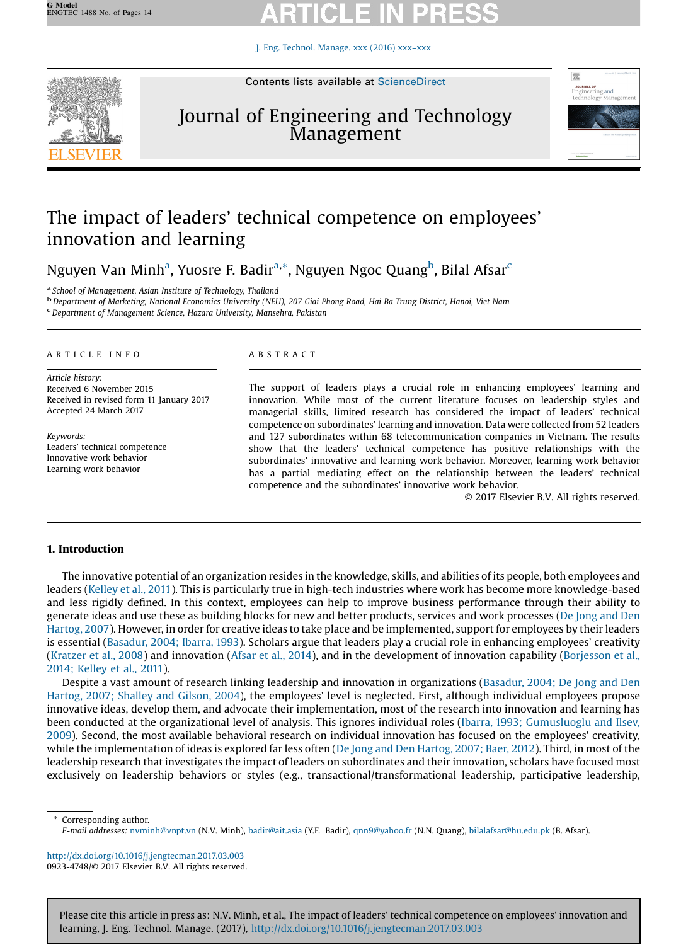[J. Eng. Technol. Manage. xxx \(2016\) xxx](http://dx.doi.org/10.1016/j.jengtecman.2017.03.003)–xxx



Contents lists available at [ScienceDirect](http://www.sciencedirect.com/science/journal/09234748)

## Journal of Engineering and Technology Management



# The impact of leaders' technical competence on employees' innovation and learning

Nguyen Van Minh<sup>a</sup>, Yuosre F. Badir<sup>a,</sup>\*, Nguyen Ngoc Quang<sup>b</sup>, Bilal Afsar<sup>c</sup>

<sup>a</sup> School of Management, Asian Institute of Technology, Thailand

b Department of Marketing, National Economics University (NEU), 207 Giai Phong Road, Hai Ba Trung District, Hanoi, Viet Nam

<sup>c</sup> Department of Management Science, Hazara University, Mansehra, Pakistan

#### ARTICLE INFO

Article history: Received 6 November 2015 Received in revised form 11 January 2017 Accepted 24 March 2017

Keywords: Leaders' technical competence Innovative work behavior Learning work behavior

#### **ABSTRACT**

The support of leaders plays a crucial role in enhancing employees' learning and innovation. While most of the current literature focuses on leadership styles and managerial skills, limited research has considered the impact of leaders' technical competence on subordinates' learning and innovation. Data were collected from 52 leaders and 127 subordinates within 68 telecommunication companies in Vietnam. The results show that the leaders' technical competence has positive relationships with the subordinates' innovative and learning work behavior. Moreover, learning work behavior has a partial mediating effect on the relationship between the leaders' technical competence and the subordinates' innovative work behavior.

© 2017 Elsevier B.V. All rights reserved.

#### 1. Introduction

The innovative potential of an organization resides in the knowledge, skills, and abilities of its people, both employees and leaders [\(Kelley et al., 2011](#page-12-0)). This is particularly true in high-tech industries where work has become more knowledge-based and less rigidly defined. In this context, employees can help to improve business performance through their ability to generate ideas and use these as building blocks for new and better products, services and work processes [\(De Jong and Den](#page-12-0) [Hartog, 2007](#page-12-0)). However, in order for creative ideas to take place and be implemented, support for employees by their leaders is essential [\(Basadur, 2004; Ibarra, 1993\)](#page-12-0). Scholars argue that leaders play a crucial role in enhancing employees' creativity ([Kratzer et al., 2008\)](#page-13-0) and innovation ([Afsar et al., 2014](#page-11-0)), and in the development of innovation capability ([Borjesson et al.,](#page-12-0) [2014; Kelley et al., 2011\)](#page-12-0).

Despite a vast amount of research linking leadership and innovation in organizations ([Basadur, 2004; De Jong and Den](#page-12-0) [Hartog, 2007; Shalley and Gilson, 2004](#page-12-0)), the employees' level is neglected. First, although individual employees propose innovative ideas, develop them, and advocate their implementation, most of the research into innovation and learning has been conducted at the organizational level of analysis. This ignores individual roles ([Ibarra, 1993; Gumusluoglu and Ilsev,](#page-12-0) [2009](#page-12-0)). Second, the most available behavioral research on individual innovation has focused on the employees' creativity, while the implementation of ideas is explored far less often [\(De Jong and Den Hartog, 2007; Baer, 2012\)](#page-12-0). Third, in most of the leadership research that investigates the impact of leaders on subordinates and their innovation, scholars have focused most exclusively on leadership behaviors or styles (e.g., transactional/transformational leadership, participative leadership,

\* Corresponding author.

E-mail addresses: [nvminh@vnpt.vn](undefined) (N.V. Minh), [badir@ait.asia](undefined) (Y.F. Badir), [qnn9@yahoo.fr](undefined) (N.N. Quang), [bilalafsar@hu.edu.pk](undefined) (B. Afsar).

<http://dx.doi.org/10.1016/j.jengtecman.2017.03.003> 0923-4748/© 2017 Elsevier B.V. All rights reserved.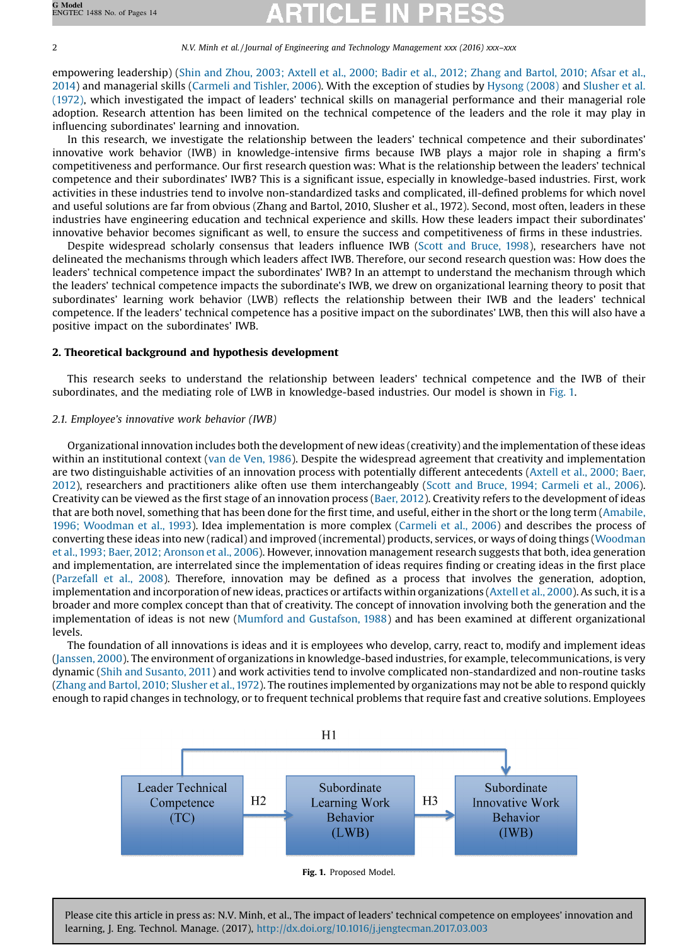empowering leadership) ([Shin and Zhou, 2003; Axtell et al., 2000; Badir et al., 2012; Zhang and Bartol, 2010; Afsar et al.,](#page-13-0) [2014\)](#page-13-0) and managerial skills [\(Carmeli and Tishler, 2006](#page-12-0)). With the exception of studies by [Hysong \(2008\)](#page-12-0) and [Slusher et al.](#page-13-0) [\(1972\),](#page-13-0) which investigated the impact of leaders' technical skills on managerial performance and their managerial role adoption. Research attention has been limited on the technical competence of the leaders and the role it may play in influencing subordinates' learning and innovation.

In this research, we investigate the relationship between the leaders' technical competence and their subordinates' innovative work behavior (IWB) in knowledge-intensive firms because IWB plays a major role in shaping a firm's competitiveness and performance. Our first research question was: What is the relationship between the leaders' technical competence and their subordinates' IWB? This is a significant issue, especially in knowledge-based industries. First, work activities in these industries tend to involve non-standardized tasks and complicated, ill-defined problems for which novel and useful solutions are far from obvious (Zhang and Bartol, 2010, Slusher et al., 1972). Second, most often, leaders in these industries have engineering education and technical experience and skills. How these leaders impact their subordinates' innovative behavior becomes significant as well, to ensure the success and competitiveness of firms in these industries.

Despite widespread scholarly consensus that leaders influence IWB ([Scott and Bruce, 1998](#page-13-0)), researchers have not delineated the mechanisms through which leaders affect IWB. Therefore, our second research question was: How does the leaders' technical competence impact the subordinates' IWB? In an attempt to understand the mechanism through which the leaders' technical competence impacts the subordinate's IWB, we drew on organizational learning theory to posit that subordinates' learning work behavior (LWB) reflects the relationship between their IWB and the leaders' technical competence. If the leaders' technical competence has a positive impact on the subordinates' LWB, then this will also have a positive impact on the subordinates' IWB.

### 2. Theoretical background and hypothesis development

This research seeks to understand the relationship between leaders' technical competence and the IWB of their subordinates, and the mediating role of LWB in knowledge-based industries. Our model is shown in Fig. 1.

### 2.1. Employee's innovative work behavior (IWB)

Organizational innovation includes both the development of new ideas (creativity) and the implementation of these ideas within an institutional context ([van de Ven, 1986](#page-13-0)). Despite the widespread agreement that creativity and implementation are two distinguishable activities of an innovation process with potentially different antecedents [\(Axtell et al., 2000; Baer,](#page-11-0) [2012\)](#page-11-0), researchers and practitioners alike often use them interchangeably [\(Scott and Bruce, 1994; Carmeli et al., 2006](#page-13-0)). Creativity can be viewed as the first stage of an innovation process [\(Baer, 2012](#page-11-0)). Creativity refers to the development of ideas that are both novel, something that has been done for the first time, and useful, either in the short or the long term ([Amabile,](#page-11-0) [1996; Woodman et al., 1993\)](#page-11-0). Idea implementation is more complex ([Carmeli et al., 2006](#page-12-0)) and describes the process of converting these ideas into new (radical) and improved (incremental) products, services, or ways of doing things ([Woodman](#page-13-0) [et al., 1993; Baer, 2012; Aronson et al., 2006](#page-13-0)). However, innovation management research suggests that both, idea generation and implementation, are interrelated since the implementation of ideas requires finding or creating ideas in the first place [\(Parzefall et al., 2008](#page-13-0)). Therefore, innovation may be defined as a process that involves the generation, adoption, implementation and incorporation of new ideas, practices or artifacts within organizations ([Axtell et al., 2000\)](#page-11-0). As such, it is a broader and more complex concept than that of creativity. The concept of innovation involving both the generation and the implementation of ideas is not new ([Mumford and Gustafson, 1988](#page-13-0)) and has been examined at different organizational levels.

The foundation of all innovations is ideas and it is employees who develop, carry, react to, modify and implement ideas [\(Janssen, 2000](#page-12-0)). The environment of organizations in knowledge-based industries, for example, telecommunications, is very dynamic [\(Shih and Susanto, 2011](#page-13-0)) and work activities tend to involve complicated non-standardized and non-routine tasks [\(Zhang and Bartol, 2010; Slusher et al., 1972\)](#page-13-0). The routines implemented by organizations may not be able to respond quickly enough to rapid changes in technology, or to frequent technical problems that require fast and creative solutions. Employees

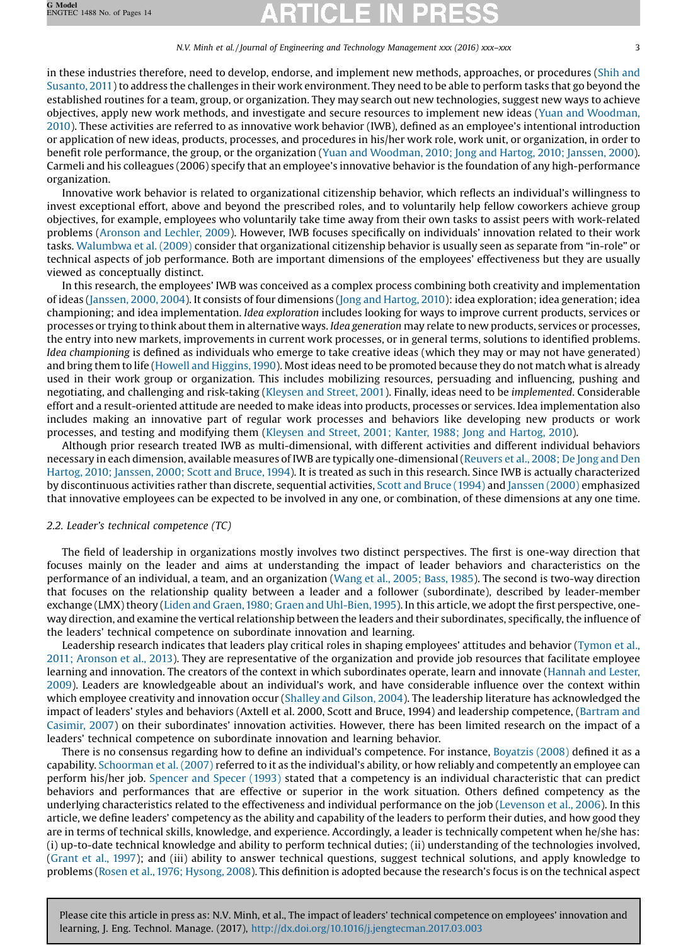in these industries therefore, need to develop, endorse, and implement new methods, approaches, or procedures ([Shih and](#page-13-0) [Susanto, 2011](#page-13-0)) to address the challenges in their work environment. They need to be able to perform tasks that go beyond the established routines for a team, group, or organization. They may search out new technologies, suggest new ways to achieve objectives, apply new work methods, and investigate and secure resources to implement new ideas [\(Yuan and Woodman,](#page-13-0) [2010](#page-13-0)). These activities are referred to as innovative work behavior (IWB), defined as an employee's intentional introduction or application of new ideas, products, processes, and procedures in his/her work role, work unit, or organization, in order to benefit role performance, the group, or the organization ([Yuan and Woodman, 2010; Jong and Hartog, 2010; Janssen, 2000](#page-13-0)). Carmeli and his colleagues (2006) specify that an employee's innovative behavior is the foundation of any high-performance organization.

Innovative work behavior is related to organizational citizenship behavior, which reflects an individual's willingness to invest exceptional effort, above and beyond the prescribed roles, and to voluntarily help fellow coworkers achieve group objectives, for example, employees who voluntarily take time away from their own tasks to assist peers with work-related problems [\(Aronson and Lechler, 2009\)](#page-11-0). However, IWB focuses specifically on individuals' innovation related to their work tasks. [Walumbwa et al. \(2009\)](#page-13-0) consider that organizational citizenship behavior is usually seen as separate from "in-role" or technical aspects of job performance. Both are important dimensions of the employees' effectiveness but they are usually viewed as conceptually distinct.

In this research, the employees' IWB was conceived as a complex process combining both creativity and implementation of ideas ([Janssen, 2000, 2004\)](#page-12-0). It consists of four dimensions [\(Jong and Hartog, 2010\)](#page-12-0): idea exploration; idea generation; idea championing; and idea implementation. Idea exploration includes looking for ways to improve current products, services or processes or trying to think about them in alternative ways. Idea generation may relate to new products, services or processes, the entry into new markets, improvements in current work processes, or in general terms, solutions to identified problems. Idea championing is defined as individuals who emerge to take creative ideas (which they may or may not have generated) and bring them to life ([Howell and Higgins,1990\)](#page-12-0). Most ideas need to be promoted because they do not match what is already used in their work group or organization. This includes mobilizing resources, persuading and influencing, pushing and negotiating, and challenging and risk-taking ([Kleysen and Street, 2001](#page-12-0)). Finally, ideas need to be implemented. Considerable effort and a result-oriented attitude are needed to make ideas into products, processes or services. Idea implementation also includes making an innovative part of regular work processes and behaviors like developing new products or work processes, and testing and modifying them [\(Kleysen and Street, 2001; Kanter, 1988; Jong and Hartog, 2010\)](#page-12-0).

Although prior research treated IWB as multi-dimensional, with different activities and different individual behaviors necessary in each dimension, available measures of IWB are typically one-dimensional ([Reuvers et al., 2008; De Jong and Den](#page-13-0) [Hartog, 2010; Janssen, 2000; Scott and Bruce, 1994](#page-13-0)). It is treated as such in this research. Since IWB is actually characterized by discontinuous activities rather than discrete, sequential activities, [Scott and Bruce \(1994\)](#page-13-0) and [Janssen \(2000\)](#page-12-0) emphasized that innovative employees can be expected to be involved in any one, or combination, of these dimensions at any one time.

### 2.2. Leader's technical competence (TC)

The field of leadership in organizations mostly involves two distinct perspectives. The first is one-way direction that focuses mainly on the leader and aims at understanding the impact of leader behaviors and characteristics on the performance of an individual, a team, and an organization [\(Wang et al., 2005; Bass, 1985](#page-13-0)). The second is two-way direction that focuses on the relationship quality between a leader and a follower (subordinate), described by leader-member exchange (LMX) theory ([Liden and Graen,1980; Graen and Uhl-Bien, 1995\)](#page-13-0). In this article, we adopt the first perspective, oneway direction, and examine the vertical relationship between the leaders and their subordinates, specifically, the influence of the leaders' technical competence on subordinate innovation and learning.

Leadership research indicates that leaders play critical roles in shaping employees' attitudes and behavior [\(Tymon et al.,](#page-13-0) [2011; Aronson et al., 2013\)](#page-13-0). They are representative of the organization and provide job resources that facilitate employee learning and innovation. The creators of the context in which subordinates operate, learn and innovate [\(Hannah and Lester,](#page-12-0) [2009](#page-12-0)). Leaders are knowledgeable about an individual's work, and have considerable influence over the context within which employee creativity and innovation occur ([Shalley and Gilson, 2004\)](#page-13-0). The leadership literature has acknowledged the impact of leaders' styles and behaviors (Axtell et al. 2000, Scott and Bruce, 1994) and leadership competence, ([Bartram and](#page-12-0) [Casimir, 2007\)](#page-12-0) on their subordinates' innovation activities. However, there has been limited research on the impact of a leaders' technical competence on subordinate innovation and learning behavior.

There is no consensus regarding how to define an individual's competence. For instance, [Boyatzis \(2008\)](#page-12-0) defined it as a capability. [Schoorman et al. \(2007\)](#page-13-0) referred to it as the individual's ability, or how reliably and competently an employee can perform his/her job. [Spencer and Specer \(1993\)](#page-13-0) stated that a competency is an individual characteristic that can predict behaviors and performances that are effective or superior in the work situation. Others defined competency as the underlying characteristics related to the effectiveness and individual performance on the job ([Levenson et al., 2006](#page-13-0)). In this article, we define leaders' competency as the ability and capability of the leaders to perform their duties, and how good they are in terms of technical skills, knowledge, and experience. Accordingly, a leader is technically competent when he/she has: (i) up-to-date technical knowledge and ability to perform technical duties; (ii) understanding of the technologies involved, ([Grant et al., 1997](#page-12-0)); and (iii) ability to answer technical questions, suggest technical solutions, and apply knowledge to problems ([Rosen et al., 1976; Hysong, 2008](#page-13-0)). This definition is adopted because the research's focus is on the technical aspect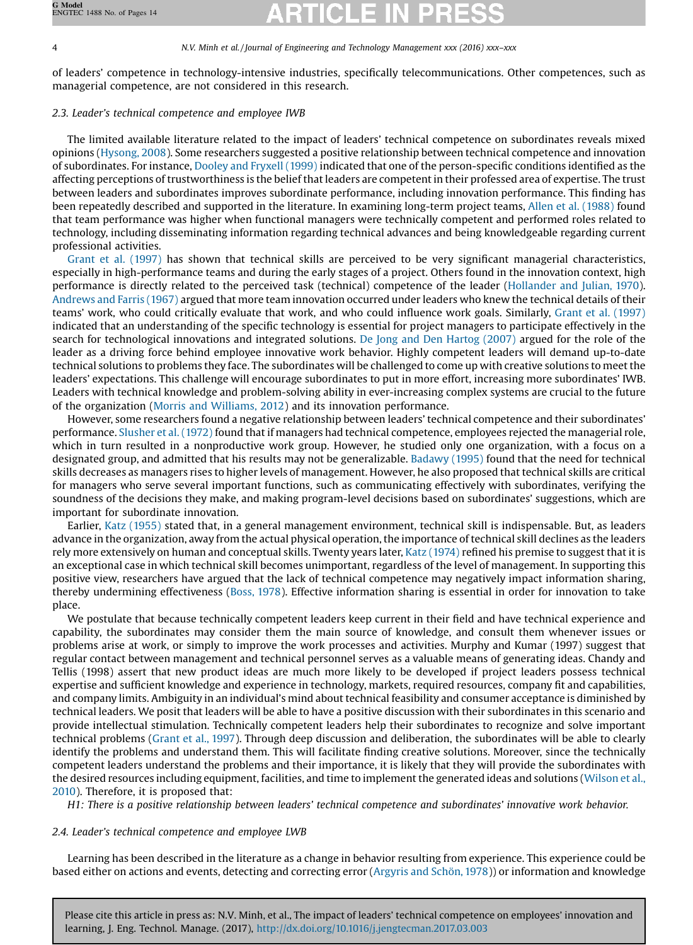of leaders' competence in technology-intensive industries, specifically telecommunications. Other competences, such as managerial competence, are not considered in this research.

### 2.3. Leader's technical competence and employee IWB

The limited available literature related to the impact of leaders' technical competence on subordinates reveals mixed opinions ([Hysong, 2008\)](#page-12-0). Some researchers suggested a positive relationship between technical competence and innovation of subordinates. For instance, [Dooley and Fryxell \(1999\)](#page-12-0) indicated that one of the person-specific conditions identified as the affecting perceptions of trustworthiness is the belief that leaders are competent in their professed area of expertise. The trust between leaders and subordinates improves subordinate performance, including innovation performance. This finding has been repeatedly described and supported in the literature. In examining long-term project teams, [Allen et al. \(1988\)](#page-11-0) found that team performance was higher when functional managers were technically competent and performed roles related to technology, including disseminating information regarding technical advances and being knowledgeable regarding current professional activities.

[Grant et al. \(1997\)](#page-12-0) has shown that technical skills are perceived to be very significant managerial characteristics, especially in high-performance teams and during the early stages of a project. Others found in the innovation context, high performance is directly related to the perceived task (technical) competence of the leader [\(Hollander and Julian, 1970](#page-12-0)). [Andrews and Farris \(1967\)](#page-11-0) argued that more team innovation occurred under leaders who knew the technical details of their teams' work, who could critically evaluate that work, and who could influence work goals. Similarly, [Grant et al. \(1997\)](#page-12-0) indicated that an understanding of the specific technology is essential for project managers to participate effectively in the search for technological innovations and integrated solutions. [De Jong and Den Hartog \(2007\)](#page-12-0) argued for the role of the leader as a driving force behind employee innovative work behavior. Highly competent leaders will demand up-to-date technical solutions to problems they face. The subordinates will be challenged to come up with creative solutions to meet the leaders' expectations. This challenge will encourage subordinates to put in more effort, increasing more subordinates' IWB. Leaders with technical knowledge and problem-solving ability in ever-increasing complex systems are crucial to the future of the organization ([Morris and Williams, 2012](#page-13-0)) and its innovation performance.

However, some researchers found a negative relationship between leaders' technical competence and their subordinates' performance. [Slusher et al. \(1972\)](#page-13-0) found that if managers had technical competence, employees rejected the managerial role, which in turn resulted in a nonproductive work group. However, he studied only one organization, with a focus on a designated group, and admitted that his results may not be generalizable. [Badawy \(1995\)](#page-11-0) found that the need for technical skills decreases as managers rises to higher levels of management. However, he also proposed that technical skills are critical for managers who serve several important functions, such as communicating effectively with subordinates, verifying the soundness of the decisions they make, and making program-level decisions based on subordinates' suggestions, which are important for subordinate innovation.

Earlier, [Katz \(1955\)](#page-12-0) stated that, in a general management environment, technical skill is indispensable. But, as leaders advance in the organization, away from the actual physical operation, the importance of technical skill declines as the leaders rely more extensively on human and conceptual skills. Twenty years later, [Katz \(1974\)](#page-12-0) refined his premise to suggest that it is an exceptional case in which technical skill becomes unimportant, regardless of the level of management. In supporting this positive view, researchers have argued that the lack of technical competence may negatively impact information sharing, thereby undermining effectiveness [\(Boss, 1978\)](#page-12-0). Effective information sharing is essential in order for innovation to take place.

We postulate that because technically competent leaders keep current in their field and have technical experience and capability, the subordinates may consider them the main source of knowledge, and consult them whenever issues or problems arise at work, or simply to improve the work processes and activities. Murphy and Kumar (1997) suggest that regular contact between management and technical personnel serves as a valuable means of generating ideas. Chandy and Tellis (1998) assert that new product ideas are much more likely to be developed if project leaders possess technical expertise and sufficient knowledge and experience in technology, markets, required resources, company fit and capabilities, and company limits. Ambiguity in an individual's mind about technical feasibility and consumer acceptance is diminished by technical leaders. We posit that leaders will be able to have a positive discussion with their subordinates in this scenario and provide intellectual stimulation. Technically competent leaders help their subordinates to recognize and solve important technical problems ([Grant et al., 1997\)](#page-12-0). Through deep discussion and deliberation, the subordinates will be able to clearly identify the problems and understand them. This will facilitate finding creative solutions. Moreover, since the technically competent leaders understand the problems and their importance, it is likely that they will provide the subordinates with the desired resources including equipment, facilities, and time to implement the generated ideas and solutions [\(Wilson et al.,](#page-13-0) [2010](#page-13-0)). Therefore, it is proposed that:

H1: There is a positive relationship between leaders' technical competence and subordinates' innovative work behavior.

### 2.4. Leader's technical competence and employee LWB

Learning has been described in the literature as a change in behavior resulting from experience. This experience could be based either on actions and events, detecting and correcting error [\(Argyris and Schön, 1978\)](#page-11-0)) or information and knowledge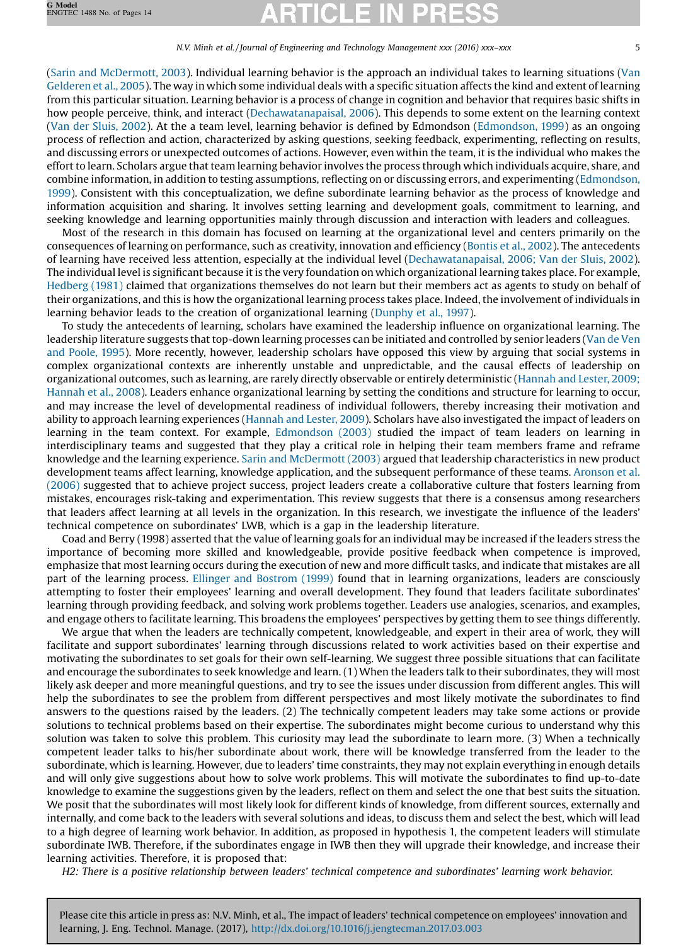([Sarin and McDermott, 2003](#page-13-0)). Individual learning behavior is the approach an individual takes to learning situations [\(Van](#page-13-0) [Gelderen et al., 2005](#page-13-0)). The way in which some individual deals with a specific situation affects the kind and extent of learning from this particular situation. Learning behavior is a process of change in cognition and behavior that requires basic shifts in how people perceive, think, and interact ([Dechawatanapaisal, 2006](#page-12-0)). This depends to some extent on the learning context ([Van der Sluis, 2002](#page-13-0)). At the a team level, learning behavior is defined by Edmondson [\(Edmondson, 1999](#page-12-0)) as an ongoing process of reflection and action, characterized by asking questions, seeking feedback, experimenting, reflecting on results, and discussing errors or unexpected outcomes of actions. However, even within the team, it is the individual who makes the effort to learn. Scholars argue that team learning behavior involves the process through which individuals acquire, share, and combine information, in addition to testing assumptions, reflecting on or discussing errors, and experimenting ([Edmondson,](#page-12-0) [1999\)](#page-12-0). Consistent with this conceptualization, we define subordinate learning behavior as the process of knowledge and information acquisition and sharing. It involves setting learning and development goals, commitment to learning, and seeking knowledge and learning opportunities mainly through discussion and interaction with leaders and colleagues.

Most of the research in this domain has focused on learning at the organizational level and centers primarily on the consequences of learning on performance, such as creativity, innovation and efficiency [\(Bontis et al., 2002](#page-12-0)). The antecedents of learning have received less attention, especially at the individual level ([Dechawatanapaisal, 2006; Van der Sluis, 2002](#page-12-0)). The individual level is significant because it is the very foundation on which organizational learning takes place. For example, [Hedberg \(1981\)](#page-12-0) claimed that organizations themselves do not learn but their members act as agents to study on behalf of their organizations, and this is how the organizational learning process takes place. Indeed, the involvement of individuals in learning behavior leads to the creation of organizational learning ([Dunphy et al., 1997](#page-12-0)).

To study the antecedents of learning, scholars have examined the leadership influence on organizational learning. The leadership literature suggests that top-down learning processes can be initiated and controlled by senior leaders ([Van de Ven](#page-13-0) [and Poole, 1995](#page-13-0)). More recently, however, leadership scholars have opposed this view by arguing that social systems in complex organizational contexts are inherently unstable and unpredictable, and the causal effects of leadership on organizational outcomes, such as learning, are rarely directly observable or entirely deterministic ([Hannah and Lester, 2009;](#page-12-0) [Hannah et al., 2008\)](#page-12-0). Leaders enhance organizational learning by setting the conditions and structure for learning to occur, and may increase the level of developmental readiness of individual followers, thereby increasing their motivation and ability to approach learning experiences [\(Hannah and Lester, 2009\)](#page-12-0). Scholars have also investigated the impact of leaders on learning in the team context. For example, [Edmondson \(2003\)](#page-12-0) studied the impact of team leaders on learning in interdisciplinary teams and suggested that they play a critical role in helping their team members frame and reframe knowledge and the learning experience. [Sarin and McDermott \(2003\)](#page-13-0) argued that leadership characteristics in new product development teams affect learning, knowledge application, and the subsequent performance of these teams. [Aronson et al.](#page-11-0) [\(2006\)](#page-11-0) suggested that to achieve project success, project leaders create a collaborative culture that fosters learning from mistakes, encourages risk-taking and experimentation. This review suggests that there is a consensus among researchers that leaders affect learning at all levels in the organization. In this research, we investigate the influence of the leaders' technical competence on subordinates' LWB, which is a gap in the leadership literature.

Coad and Berry (1998) asserted that the value of learning goals for an individual may be increased if the leaders stress the importance of becoming more skilled and knowledgeable, provide positive feedback when competence is improved, emphasize that most learning occurs during the execution of new and more difficult tasks, and indicate that mistakes are all part of the learning process. [Ellinger and Bostrom \(1999\)](#page-12-0) found that in learning organizations, leaders are consciously attempting to foster their employees' learning and overall development. They found that leaders facilitate subordinates' learning through providing feedback, and solving work problems together. Leaders use analogies, scenarios, and examples, and engage others to facilitate learning. This broadens the employees' perspectives by getting them to see things differently.

We argue that when the leaders are technically competent, knowledgeable, and expert in their area of work, they will facilitate and support subordinates' learning through discussions related to work activities based on their expertise and motivating the subordinates to set goals for their own self-learning. We suggest three possible situations that can facilitate and encourage the subordinates to seek knowledge and learn. (1) When the leaders talk to their subordinates, they will most likely ask deeper and more meaningful questions, and try to see the issues under discussion from different angles. This will help the subordinates to see the problem from different perspectives and most likely motivate the subordinates to find answers to the questions raised by the leaders. (2) The technically competent leaders may take some actions or provide solutions to technical problems based on their expertise. The subordinates might become curious to understand why this solution was taken to solve this problem. This curiosity may lead the subordinate to learn more. (3) When a technically competent leader talks to his/her subordinate about work, there will be knowledge transferred from the leader to the subordinate, which is learning. However, due to leaders' time constraints, they may not explain everything in enough details and will only give suggestions about how to solve work problems. This will motivate the subordinates to find up-to-date knowledge to examine the suggestions given by the leaders, reflect on them and select the one that best suits the situation. We posit that the subordinates will most likely look for different kinds of knowledge, from different sources, externally and internally, and come back to the leaders with several solutions and ideas, to discuss them and select the best, which will lead to a high degree of learning work behavior. In addition, as proposed in hypothesis 1, the competent leaders will stimulate subordinate IWB. Therefore, if the subordinates engage in IWB then they will upgrade their knowledge, and increase their learning activities. Therefore, it is proposed that:

H2: There is a positive relationship between leaders' technical competence and subordinates' learning work behavior.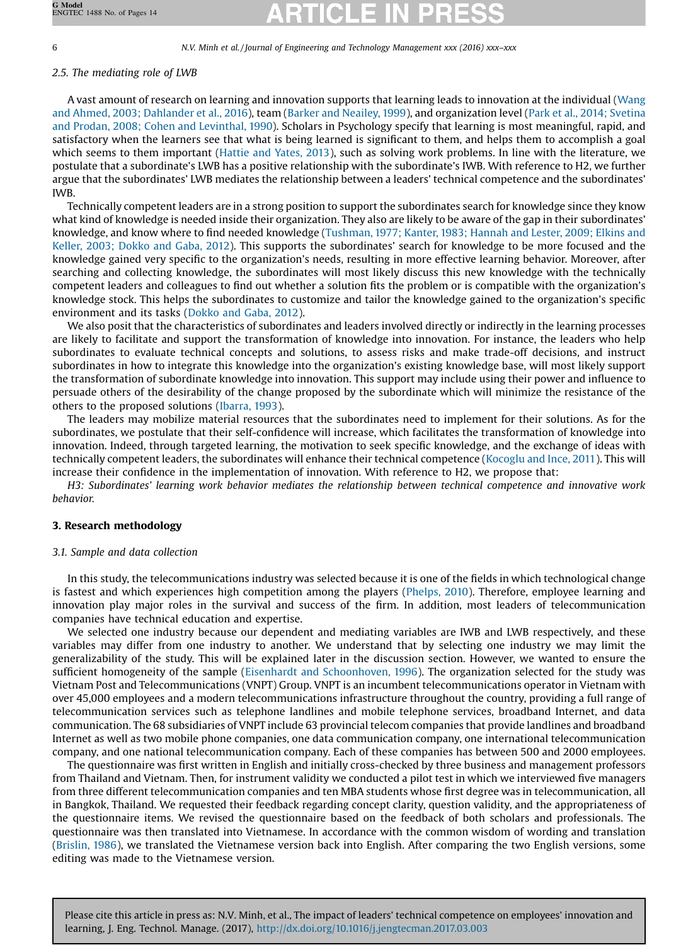### 2.5. The mediating role of LWB

A vast amount of research on learning and innovation supports that learning leads to innovation at the individual [\(Wang](#page-13-0) [and Ahmed, 2003; Dahlander et al.,](#page-13-0) 2016), team ([Barker and Neailey, 1999](#page-11-0)), and organization level [\(Park et al., 2014; Svetina](#page-13-0) [and Prodan, 2008; Cohen and Levinthal, 1990](#page-13-0)). Scholars in Psychology specify that learning is most meaningful, rapid, and satisfactory when the learners see that what is being learned is significant to them, and helps them to accomplish a goal which seems to them important [\(Hattie and Yates, 2013](#page-12-0)), such as solving work problems. In line with the literature, we postulate that a subordinate's LWB has a positive relationship with the subordinate's IWB. With reference to H2, we further argue that the subordinates' LWB mediates the relationship between a leaders' technical competence and the subordinates' IWB.

Technically competent leaders are in a strong position to support the subordinates search for knowledge since they know what kind of knowledge is needed inside their organization. They also are likely to be aware of the gap in their subordinates' knowledge, and know where to find needed knowledge ([Tushman, 1977; Kanter, 1983; Hannah and Lester, 2009; Elkins and](#page-13-0) [Keller, 2003; Dokko and Gaba, 2012\)](#page-13-0). This supports the subordinates' search for knowledge to be more focused and the knowledge gained very specific to the organization's needs, resulting in more effective learning behavior. Moreover, after searching and collecting knowledge, the subordinates will most likely discuss this new knowledge with the technically competent leaders and colleagues to find out whether a solution fits the problem or is compatible with the organization's knowledge stock. This helps the subordinates to customize and tailor the knowledge gained to the organization's specific environment and its tasks ([Dokko and Gaba, 2012\)](#page-12-0).

We also posit that the characteristics of subordinates and leaders involved directly or indirectly in the learning processes are likely to facilitate and support the transformation of knowledge into innovation. For instance, the leaders who help subordinates to evaluate technical concepts and solutions, to assess risks and make trade-off decisions, and instruct subordinates in how to integrate this knowledge into the organization's existing knowledge base, will most likely support the transformation of subordinate knowledge into innovation. This support may include using their power and influence to persuade others of the desirability of the change proposed by the subordinate which will minimize the resistance of the others to the proposed solutions ([Ibarra, 1993](#page-12-0)).

The leaders may mobilize material resources that the subordinates need to implement for their solutions. As for the subordinates, we postulate that their self-confidence will increase, which facilitates the transformation of knowledge into innovation. Indeed, through targeted learning, the motivation to seek specific knowledge, and the exchange of ideas with technically competent leaders, the subordinates will enhance their technical competence ([Kocoglu and Ince, 2011](#page-12-0)). This will increase their confidence in the implementation of innovation. With reference to H2, we propose that:

H3: Subordinates' learning work behavior mediates the relationship between technical competence and innovative work behavior.

### 3. Research methodology

### 3.1. Sample and data collection

In this study, the telecommunications industry was selected because it is one of the fields in which technological change is fastest and which experiences high competition among the players [\(Phelps, 2010](#page-13-0)). Therefore, employee learning and innovation play major roles in the survival and success of the firm. In addition, most leaders of telecommunication companies have technical education and expertise.

We selected one industry because our dependent and mediating variables are IWB and LWB respectively, and these variables may differ from one industry to another. We understand that by selecting one industry we may limit the generalizability of the study. This will be explained later in the discussion section. However, we wanted to ensure the sufficient homogeneity of the sample ([Eisenhardt and Schoonhoven, 1996](#page-12-0)). The organization selected for the study was Vietnam Post and Telecommunications (VNPT) Group. VNPT is an incumbent telecommunications operator in Vietnam with over 45,000 employees and a modern telecommunications infrastructure throughout the country, providing a full range of telecommunication services such as telephone landlines and mobile telephone services, broadband Internet, and data communication. The 68 subsidiaries of VNPT include 63 provincial telecom companies that provide landlines and broadband Internet as well as two mobile phone companies, one data communication company, one international telecommunication company, and one national telecommunication company. Each of these companies has between 500 and 2000 employees.

The questionnaire was first written in English and initially cross-checked by three business and management professors from Thailand and Vietnam. Then, for instrument validity we conducted a pilot test in which we interviewed five managers from three different telecommunication companies and ten MBA students whose first degree was in telecommunication, all in Bangkok, Thailand. We requested their feedback regarding concept clarity, question validity, and the appropriateness of the questionnaire items. We revised the questionnaire based on the feedback of both scholars and professionals. The questionnaire was then translated into Vietnamese. In accordance with the common wisdom of wording and translation [\(Brislin, 1986\)](#page-12-0), we translated the Vietnamese version back into English. After comparing the two English versions, some editing was made to the Vietnamese version.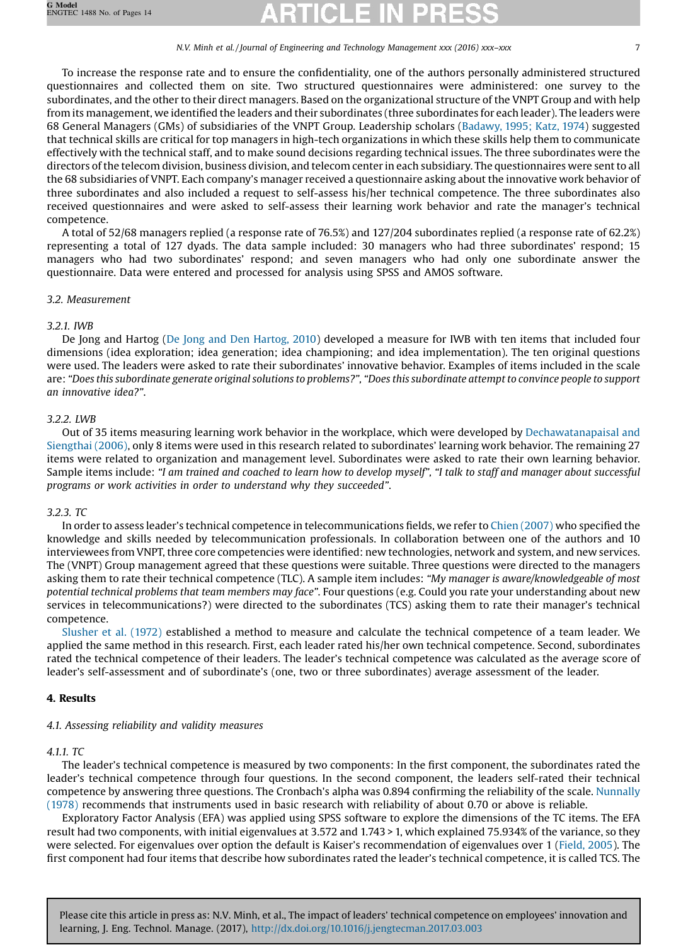To increase the response rate and to ensure the confidentiality, one of the authors personally administered structured questionnaires and collected them on site. Two structured questionnaires were administered: one survey to the subordinates, and the other to their direct managers. Based on the organizational structure of the VNPT Group and with help from its management, we identified the leaders and their subordinates (three subordinates for each leader). The leaders were 68 General Managers (GMs) of subsidiaries of the VNPT Group. Leadership scholars [\(Badawy, 1995; Katz, 1974\)](#page-11-0) suggested that technical skills are critical for top managers in high-tech organizations in which these skills help them to communicate effectively with the technical staff, and to make sound decisions regarding technical issues. The three subordinates were the directors of the telecom division, business division, and telecom center in each subsidiary. The questionnaires were sent to all the 68 subsidiaries of VNPT. Each company's manager received a questionnaire asking about the innovative work behavior of three subordinates and also included a request to self-assess his/her technical competence. The three subordinates also received questionnaires and were asked to self-assess their learning work behavior and rate the manager's technical competence.

A total of 52/68 managers replied (a response rate of 76.5%) and 127/204 subordinates replied (a response rate of 62.2%) representing a total of 127 dyads. The data sample included: 30 managers who had three subordinates' respond; 15 managers who had two subordinates' respond; and seven managers who had only one subordinate answer the questionnaire. Data were entered and processed for analysis using SPSS and AMOS software.

#### 3.2. Measurement

#### 3.2.1. IWB

De Jong and Hartog ([De Jong and Den Hartog, 2010](#page-12-0)) developed a measure for IWB with ten items that included four dimensions (idea exploration; idea generation; idea championing; and idea implementation). The ten original questions were used. The leaders were asked to rate their subordinates' innovative behavior. Examples of items included in the scale are: "Does this subordinate generate original solutions to problems?", "Does this subordinate attempt to convince people to support an innovative idea?".

#### 3.2.2. LWB

Out of 35 items measuring learning work behavior in the workplace, which were developed by [Dechawatanapaisal and](#page-12-0) [Siengthai \(2006\)](#page-12-0), only 8 items were used in this research related to subordinates' learning work behavior. The remaining 27 items were related to organization and management level. Subordinates were asked to rate their own learning behavior. Sample items include: "I am trained and coached to learn how to develop myself", "I talk to staff and manager about successful programs or work activities in order to understand why they succeeded".

#### 3.2.3. TC

In order to assess leader's technical competence in telecommunications fields, we refer to [Chien \(2007\)](#page-12-0) who specified the knowledge and skills needed by telecommunication professionals. In collaboration between one of the authors and 10 interviewees from VNPT, three core competencies were identified: new technologies, network and system, and new services. The (VNPT) Group management agreed that these questions were suitable. Three questions were directed to the managers asking them to rate their technical competence (TLC). A sample item includes: "My manager is aware/knowledgeable of most potential technical problems that team members may face". Four questions (e.g. Could you rate your understanding about new services in telecommunications?) were directed to the subordinates (TCS) asking them to rate their manager's technical competence.

[Slusher et al. \(1972\)](#page-13-0) established a method to measure and calculate the technical competence of a team leader. We applied the same method in this research. First, each leader rated his/her own technical competence. Second, subordinates rated the technical competence of their leaders. The leader's technical competence was calculated as the average score of leader's self-assessment and of subordinate's (one, two or three subordinates) average assessment of the leader.

#### 4. Results

#### 4.1. Assessing reliability and validity measures

#### 4.1.1. TC

The leader's technical competence is measured by two components: In the first component, the subordinates rated the leader's technical competence through four questions. In the second component, the leaders self-rated their technical competence by answering three questions. The Cronbach's alpha was 0.894 confirming the reliability of the scale. [Nunnally](#page-13-0) [\(1978\)](#page-13-0) recommends that instruments used in basic research with reliability of about 0.70 or above is reliable.

Exploratory Factor Analysis (EFA) was applied using SPSS software to explore the dimensions of the TC items. The EFA result had two components, with initial eigenvalues at 3.572 and 1.743 > 1, which explained 75.934% of the variance, so they were selected. For eigenvalues over option the default is Kaiser's recommendation of eigenvalues over 1 [\(Field, 2005](#page-12-0)). The first component had four items that describe how subordinates rated the leader's technical competence, it is called TCS. The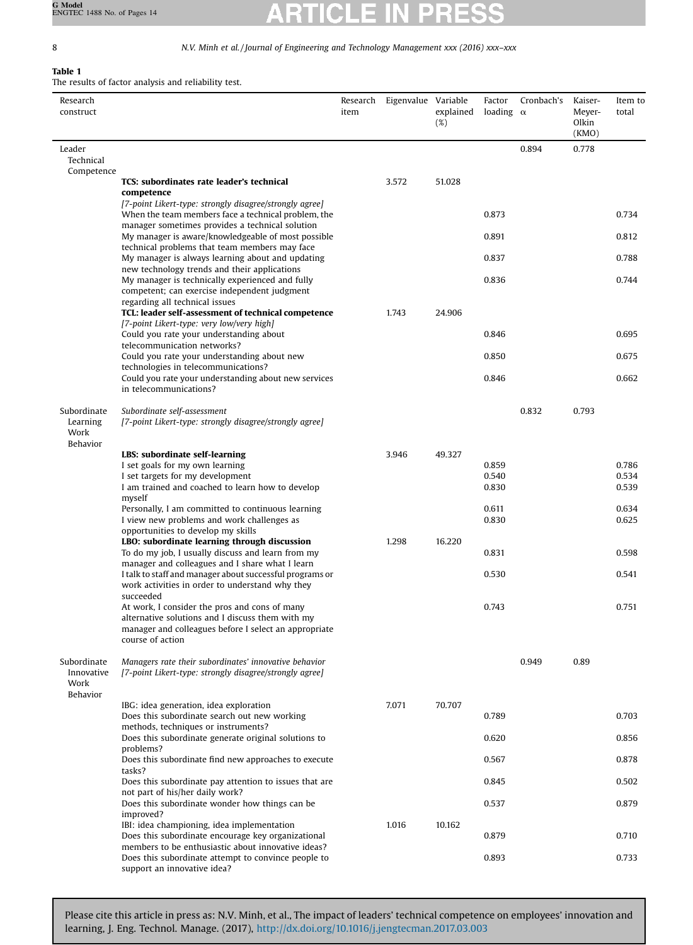# D

### <span id="page-7-0"></span>8 N.V. Minh et al. / Journal of Engineering and Technology Management xxx (2016) xxx-xxx

l.

Table 1 The results of factor analysis and reliability test.

| Research                                      |                                                                                                                                                                                |      | Research Eigenvalue Variable |                     | Factor           | Cronbach's | Kaiser-                  | Item to        |
|-----------------------------------------------|--------------------------------------------------------------------------------------------------------------------------------------------------------------------------------|------|------------------------------|---------------------|------------------|------------|--------------------------|----------------|
| construct                                     |                                                                                                                                                                                | item |                              | explained<br>$(\%)$ | loading $\alpha$ |            | Meyer-<br>Olkin<br>(KMO) | total          |
| Leader<br>Technical<br>Competence             |                                                                                                                                                                                |      |                              |                     |                  | 0.894      | 0.778                    |                |
|                                               | TCS: subordinates rate leader's technical<br>competence                                                                                                                        |      | 3.572                        | 51.028              |                  |            |                          |                |
|                                               | [7-point Likert-type: strongly disagree/strongly agree]<br>When the team members face a technical problem, the                                                                 |      |                              |                     | 0.873            |            |                          | 0.734          |
|                                               | manager sometimes provides a technical solution<br>My manager is aware/knowledgeable of most possible<br>technical problems that team members may face                         |      |                              |                     | 0.891            |            |                          | 0.812          |
|                                               | My manager is always learning about and updating<br>new technology trends and their applications                                                                               |      |                              |                     | 0.837            |            |                          | 0.788          |
|                                               | My manager is technically experienced and fully<br>competent; can exercise independent judgment<br>regarding all technical issues                                              |      |                              |                     | 0.836            |            |                          | 0.744          |
|                                               | TCL: leader self-assessment of technical competence<br>[7-point Likert-type: very low/very high]                                                                               |      | 1.743                        | 24.906              |                  |            |                          |                |
|                                               | Could you rate your understanding about<br>telecommunication networks?                                                                                                         |      |                              |                     | 0.846            |            |                          | 0.695          |
|                                               | Could you rate your understanding about new<br>technologies in telecommunications?                                                                                             |      |                              |                     | 0.850            |            |                          | 0.675          |
|                                               | Could you rate your understanding about new services<br>in telecommunications?                                                                                                 |      |                              |                     | 0.846            |            |                          | 0.662          |
| Subordinate<br>Learning<br>Work<br>Behavior   | Subordinate self-assessment<br>[7-point Likert-type: strongly disagree/strongly agree]                                                                                         |      |                              |                     |                  | 0.832      | 0.793                    |                |
|                                               | LBS: subordinate self-learning<br>I set goals for my own learning                                                                                                              |      | 3.946                        | 49.327              | 0.859            |            |                          | 0.786          |
|                                               | I set targets for my development<br>I am trained and coached to learn how to develop                                                                                           |      |                              |                     | 0.540<br>0.830   |            |                          | 0.534<br>0.539 |
|                                               | myself<br>Personally, I am committed to continuous learning<br>I view new problems and work challenges as                                                                      |      |                              |                     | 0.611<br>0.830   |            |                          | 0.634<br>0.625 |
|                                               | opportunities to develop my skills<br>LBO: subordinate learning through discussion                                                                                             |      | 1.298                        | 16.220              |                  |            |                          |                |
|                                               | To do my job, I usually discuss and learn from my<br>manager and colleagues and I share what I learn                                                                           |      |                              |                     | 0.831            |            |                          | 0.598          |
|                                               | I talk to staff and manager about successful programs or<br>work activities in order to understand why they<br>succeeded                                                       |      |                              |                     | 0.530            |            |                          | 0.541          |
|                                               | At work, I consider the pros and cons of many<br>alternative solutions and I discuss them with my<br>manager and colleagues before I select an appropriate<br>course of action |      |                              |                     | 0.743            |            |                          | 0.751          |
| Subordinate<br>Innovative<br>Work<br>Behavior | Managers rate their subordinates' innovative behavior<br>[7-point Likert-type: strongly disagree/strongly agree]                                                               |      |                              |                     |                  | 0.949      | 0.89                     |                |
|                                               | IBG: idea generation, idea exploration<br>Does this subordinate search out new working                                                                                         |      | 7.071                        | 70.707              | 0.789            |            |                          | 0.703          |
|                                               | methods, techniques or instruments?<br>Does this subordinate generate original solutions to                                                                                    |      |                              |                     | 0.620            |            |                          | 0.856          |
|                                               | problems?<br>Does this subordinate find new approaches to execute                                                                                                              |      |                              |                     | 0.567            |            |                          | 0.878          |
|                                               | tasks?<br>Does this subordinate pay attention to issues that are                                                                                                               |      |                              |                     | 0.845            |            |                          | 0.502          |
|                                               | not part of his/her daily work?<br>Does this subordinate wonder how things can be                                                                                              |      |                              |                     | 0.537            |            |                          | 0.879          |
|                                               | improved?<br>IBI: idea championing, idea implementation<br>Does this subordinate encourage key organizational                                                                  |      | 1.016                        | 10.162              | 0.879            |            |                          | 0.710          |
|                                               | members to be enthusiastic about innovative ideas?<br>Does this subordinate attempt to convince people to                                                                      |      |                              |                     | 0.893            |            |                          | 0.733          |
|                                               | support an innovative idea?                                                                                                                                                    |      |                              |                     |                  |            |                          |                |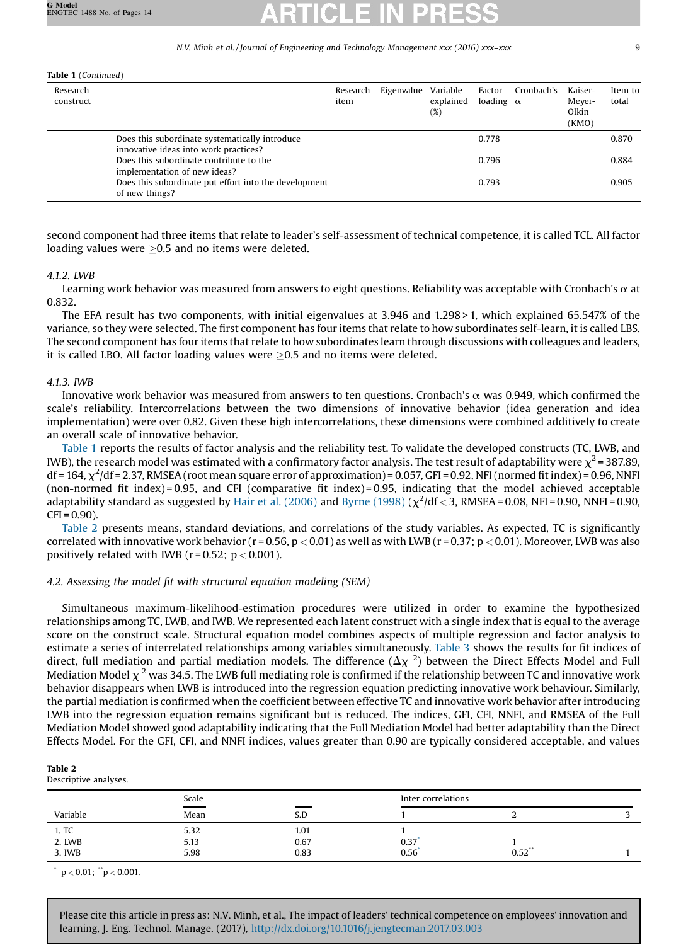### Table 1 (Continued)

| Research<br>construct |                                                                                         | Research<br>item | Eigenvalue Variable | explained<br>$(\%)$ | loading $\alpha$ | Factor Cronbach's | Kaiser-<br>Meyer-<br>Olkin<br>(KMO) | Item to<br>total |
|-----------------------|-----------------------------------------------------------------------------------------|------------------|---------------------|---------------------|------------------|-------------------|-------------------------------------|------------------|
|                       | Does this subordinate systematically introduce<br>innovative ideas into work practices? |                  |                     |                     | 0.778            |                   |                                     | 0.870            |
|                       | Does this subordinate contribute to the<br>implementation of new ideas?                 |                  |                     |                     | 0.796            |                   |                                     | 0.884            |
|                       | Does this subordinate put effort into the development<br>of new things?                 |                  |                     |                     | 0.793            |                   |                                     | 0.905            |

second component had three items that relate to leader's self-assessment of technical competence, it is called TCL. All factor loading values were  $>0.5$  and no items were deleted.

#### 4.1.2. LWB

Learning work behavior was measured from answers to eight questions. Reliability was acceptable with Cronbach's  $\alpha$  at 0.832.

The EFA result has two components, with initial eigenvalues at 3.946 and 1.298 > 1, which explained 65.547% of the variance, so they were selected. The first component has four items that relate to how subordinates self-learn, it is called LBS. The second component has four items that relate to how subordinates learn through discussions with colleagues and leaders, it is called LBO. All factor loading values were  $>0.5$  and no items were deleted.

#### 4.1.3. IWB

Innovative work behavior was measured from answers to ten questions. Cronbach's  $\alpha$  was 0.949, which confirmed the scale's reliability. Intercorrelations between the two dimensions of innovative behavior (idea generation and idea implementation) were over 0.82. Given these high intercorrelations, these dimensions were combined additively to create an overall scale of innovative behavior.

[Table 1](#page-7-0) reports the results of factor analysis and the reliability test. To validate the developed constructs (TC, LWB, and IWB), the research model was estimated with a confirmatory factor analysis. The test result of adaptability were  $\chi^2$  = 387.89, df = 164,  $\chi^2$ /df = 2.37, RMSEA (root mean square error of approximation) = 0.057, GFI = 0.92, NFI (normed fit index) = 0.96, NNFI (non-normed fit index) = 0.95, and CFI (comparative fit index) = 0.95, indicating that the model achieved acceptable adaptability standard as suggested by [Hair et al. \(2006\)](#page-12-0) and [Byrne \(1998\)](#page-12-0)  $(\chi^2/{\rm df} < 3$ , RMSEA=0.08, NFI=0.90, NNFI=0.90,  $CFI = 0.90$ ).

Table 2 presents means, standard deviations, and correlations of the study variables. As expected, TC is significantly correlated with innovative work behavior ( $r = 0.56$ ,  $p < 0.01$ ) as well as with LWB ( $r = 0.37$ ;  $p < 0.01$ ). Moreover, LWB was also positively related with IWB ( $r = 0.52$ ;  $p < 0.001$ ).

#### 4.2. Assessing the model fit with structural equation modeling (SEM)

Simultaneous maximum-likelihood-estimation procedures were utilized in order to examine the hypothesized relationships among TC, LWB, and IWB. We represented each latent construct with a single index that is equal to the average score on the construct scale. Structural equation model combines aspects of multiple regression and factor analysis to estimate a series of interrelated relationships among variables simultaneously. [Table 3](#page-9-0) shows the results for fit indices of direct, full mediation and partial mediation models. The difference ( $\Delta\chi$  <sup>2</sup>) between the Direct Effects Model and Full Mediation Model  $\chi^2$  was 34.5. The LWB full mediating role is confirmed if the relationship between TC and innovative work behavior disappears when LWB is introduced into the regression equation predicting innovative work behaviour. Similarly, the partial mediation is confirmed when the coefficient between effective TC and innovative work behavior after introducing LWB into the regression equation remains significant but is reduced. The indices, GFI, CFI, NNFI, and RMSEA of the Full Mediation Model showed good adaptability indicating that the Full Mediation Model had better adaptability than the Direct Effects Model. For the GFI, CFI, and NNFI indices, values greater than 0.90 are typically considered acceptable, and values

#### Table 2

Descriptive analyses.

|          | $Scale$ |      | Inter-correlations |                      |  |  |
|----------|---------|------|--------------------|----------------------|--|--|
| Variable | Mean    | S.D  |                    |                      |  |  |
| 1. TC    | 5.32    | 1.01 |                    |                      |  |  |
| 2. LWB   | 5.13    | 0.67 | 0.37               |                      |  |  |
| 3. IWB   | 5.98    | 0.83 | $0.56^{\degree}$   | $0.52$ <sup>**</sup> |  |  |

 $p < 0.01$ ;  $p < 0.001$ .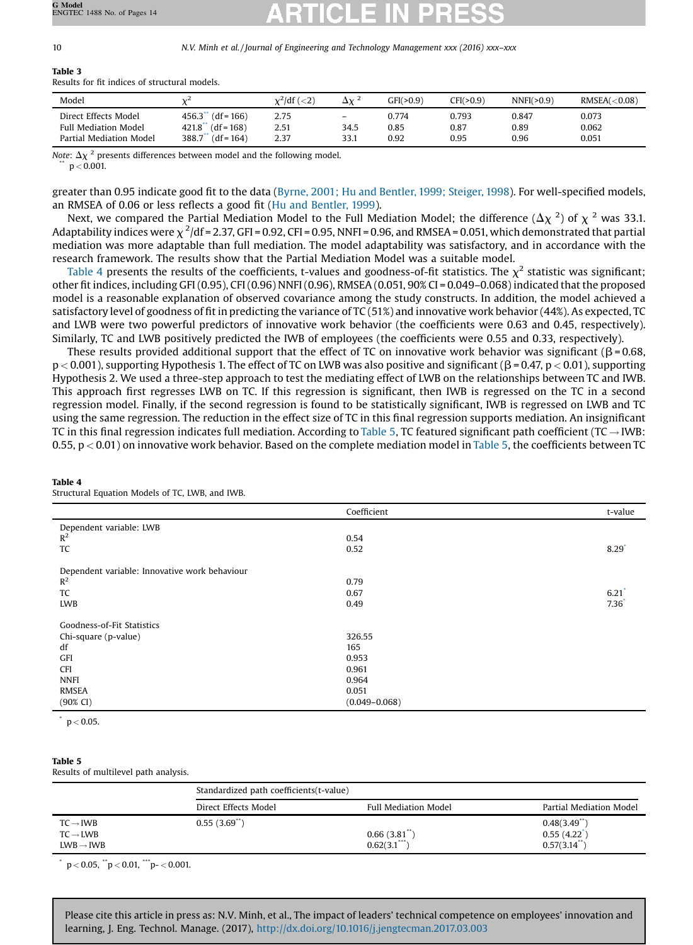#### <span id="page-9-0"></span>Table 3

Results for fit indices of structural models.

| Model                                                                          |                                                                            | $x^2$ /df (<br>$\langle 2 \rangle$ | $\Delta x$                        | GFI(>0.9)             | CFI(>0.9)             | NNFI(>0.9)            | RMSEA(<0.08)            |
|--------------------------------------------------------------------------------|----------------------------------------------------------------------------|------------------------------------|-----------------------------------|-----------------------|-----------------------|-----------------------|-------------------------|
| Direct Effects Model<br><b>Full Mediation Model</b><br>Partial Mediation Model | 456.3<br>$^{11}$ (df = 166)<br>$421.8$ (df = 168)<br>388.7<br>$(df = 164)$ | 2.75<br>2.51<br>2.37               | $\qquad \qquad -$<br>34.5<br>33.1 | 0.774<br>0.85<br>0.92 | 0.793<br>0.87<br>0.95 | 0.847<br>0.89<br>0.96 | 0.073<br>0.062<br>0.051 |

*Note*:  $\Delta \chi$  <sup>2</sup> presents differences between model and the following model.

greater than 0.95 indicate good fit to the data [\(Byrne, 2001; Hu and Bentler, 1999; Steiger, 1998](#page-12-0)). For well-specified models, an RMSEA of 0.06 or less reflects a good fit ([Hu and Bentler, 1999\)](#page-12-0).

Next, we compared the Partial Mediation Model to the Full Mediation Model; the difference ( $\Delta\chi$  <sup>2</sup>) of  $\chi$  <sup>2</sup> was 33.1. Adaptability indices were  $\chi^2/{\rm df}$  = 2.37, GFI = 0.92, CFI = 0.95, NNFI = 0.96, and RMSEA = 0.051, which demonstrated that partial mediation was more adaptable than full mediation. The model adaptability was satisfactory, and in accordance with the research framework. The results show that the Partial Mediation Model was a suitable model.

Table 4 presents the results of the coefficients, t-values and goodness-of-fit statistics. The  $\chi^2$  statistic was significant; other fit indices, including GFI (0.95), CFI (0.96) NNFI (0.96), RMSEA (0.051, 90% CI = 0.049–0.068) indicated that the proposed model is a reasonable explanation of observed covariance among the study constructs. In addition, the model achieved a satisfactory level of goodness of fit in predicting the variance of TC (51%) and innovative work behavior (44%). As expected, TC and LWB were two powerful predictors of innovative work behavior (the coefficients were 0.63 and 0.45, respectively). Similarly, TC and LWB positively predicted the IWB of employees (the coefficients were 0.55 and 0.33, respectively).

These results provided additional support that the effect of TC on innovative work behavior was significant ( $\beta$ = 0.68,  $p < 0.001$ ), supporting Hypothesis 1. The effect of TC on LWB was also positive and significant ( $\beta$  = 0.47,  $p < 0.01$ ), supporting Hypothesis 2. We used a three-step approach to test the mediating effect of LWB on the relationships between TC and IWB. This approach first regresses LWB on TC. If this regression is significant, then IWB is regressed on the TC in a second regression model. Finally, if the second regression is found to be statistically significant, IWB is regressed on LWB and TC using the same regression. The reduction in the effect size of TC in this final regression supports mediation. An insignificant TC in this final regression indicates full mediation. According to Table 5, TC featured significant path coefficient (TC  $\rightarrow$  IWB:  $0.55$ ,  $p < 0.01$ ) on innovative work behavior. Based on the complete mediation model in Table 5, the coefficients between TC

|                                               | Coefficient       | t-value             |
|-----------------------------------------------|-------------------|---------------------|
| Dependent variable: LWB                       |                   |                     |
| $R^2$                                         | 0.54              |                     |
| TC                                            | 0.52              | 8.29                |
| Dependent variable: Innovative work behaviour |                   |                     |
| $R^2$                                         | 0.79              |                     |
| TC                                            | 0.67              | $6.21$ <sup>*</sup> |
| <b>LWB</b>                                    | 0.49              | 7.36                |
| Goodness-of-Fit Statistics                    |                   |                     |
| Chi-square (p-value)                          | 326.55            |                     |
| df                                            | 165               |                     |
| GFI                                           | 0.953             |                     |
| <b>CFI</b>                                    | 0.961             |                     |
| <b>NNFI</b>                                   | 0.964             |                     |
| <b>RMSEA</b>                                  | 0.051             |                     |
| $(90\% \text{ CI})$                           | $(0.049 - 0.068)$ |                     |

#### Table 4 Structural Equation Models of TC, LWB, and IWB.

 $p < 0.05$ .

#### Table 5

Results of multilevel path analysis.

|                                                                       | Standardized path coefficients (t-value) |                                     |                                               |
|-----------------------------------------------------------------------|------------------------------------------|-------------------------------------|-----------------------------------------------|
|                                                                       | Direct Effects Model                     | <b>Full Mediation Model</b>         | Partial Mediation Model                       |
| $TC \rightarrow IWB$<br>$TC \rightarrow LWB$<br>$LWB \rightarrow IWB$ | $0.55(3.69^{**})$                        | $0.66(3.81^{**})$<br>$0.62(3.1***)$ | 0.48(3.49)<br>0.55(4.22)<br>$0.57(3.14^{**})$ |

 $p < 0.05$ ,  $\degree$  p < 0.01,  $\degree$  p < 0.001.

 $p < 0.001$ .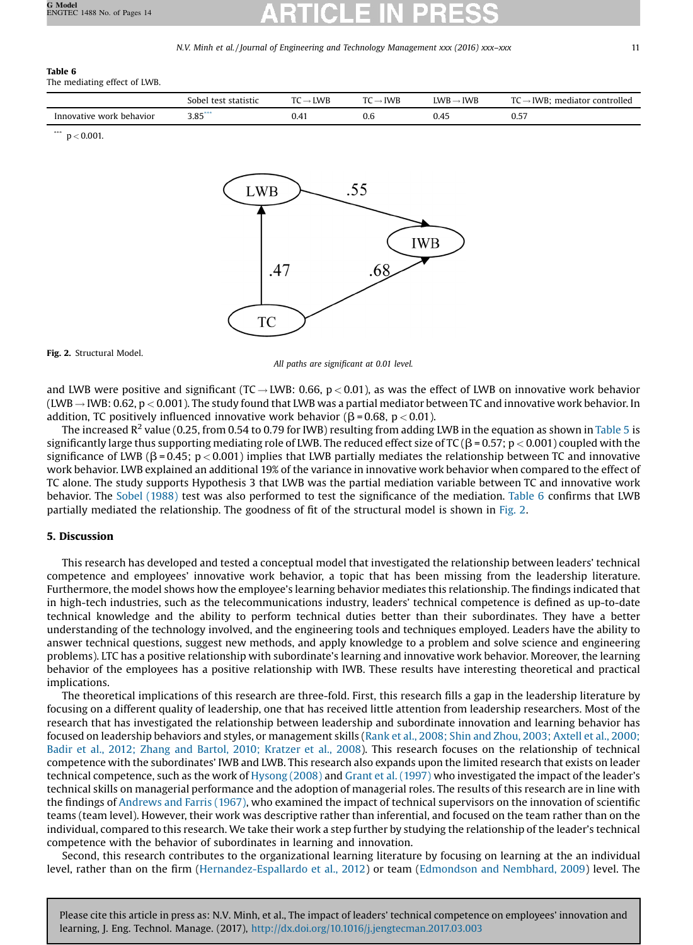### Table 6

The mediating effect of LWB.

|                                | nstic<br>50DP<br>$-0c$  | T.C<br><b>I M/F</b> | m.<br>IIAD<br>vv r<br>$\overline{\phantom{a}}$ | <b>IWB</b><br><b>IMR</b><br>_ | <b>COLOR</b><br><b>IWB</b><br>. mediator<br>$\sim$ nt.<br>oilec |
|--------------------------------|-------------------------|---------------------|------------------------------------------------|-------------------------------|-----------------------------------------------------------------|
| behavior<br>work<br>11/11<br>. | $\sim$ $-$<br>כס.כ<br>. | U. TI               | v.v                                            | .<br>.                        | ---<br>0.37                                                     |

 $p < 0.001$ .



Fig. 2. Structural Model.

All paths are significant at 0.01 level.

and LWB were positive and significant (TC  $\rightarrow$  LWB: 0.66, p < 0.01), as was the effect of LWB on innovative work behavior (LWB  $\rightarrow$  IWB: 0.62, p < 0.001). The study found that LWB was a partial mediator between TC and innovative work behavior. In addition, TC positively influenced innovative work behavior ( $\beta$  = 0.68, p < 0.01).

The increased  $R^2$  value (0.25, from 0.54 to 0.79 for IWB) resulting from adding LWB in the equation as shown in [Table 5](#page-9-0) is significantly large thus supporting mediating role of LWB. The reduced effect size of TC ( $\beta$  = 0.57; p < 0.001) coupled with the significance of LWB ( $\beta$  = 0.45; p < 0.001) implies that LWB partially mediates the relationship between TC and innovative work behavior. LWB explained an additional 19% of the variance in innovative work behavior when compared to the effect of TC alone. The study supports Hypothesis 3 that LWB was the partial mediation variable between TC and innovative work behavior. The [Sobel \(1988\)](#page-13-0) test was also performed to test the significance of the mediation. Table 6 confirms that LWB partially mediated the relationship. The goodness of fit of the structural model is shown in Fig. 2.

#### 5. Discussion

This research has developed and tested a conceptual model that investigated the relationship between leaders' technical competence and employees' innovative work behavior, a topic that has been missing from the leadership literature. Furthermore, the model shows how the employee's learning behavior mediates this relationship. The findings indicated that in high-tech industries, such as the telecommunications industry, leaders' technical competence is defined as up-to-date technical knowledge and the ability to perform technical duties better than their subordinates. They have a better understanding of the technology involved, and the engineering tools and techniques employed. Leaders have the ability to answer technical questions, suggest new methods, and apply knowledge to a problem and solve science and engineering problems). LTC has a positive relationship with subordinate's learning and innovative work behavior. Moreover, the learning behavior of the employees has a positive relationship with IWB. These results have interesting theoretical and practical implications.

The theoretical implications of this research are three-fold. First, this research fills a gap in the leadership literature by focusing on a different quality of leadership, one that has received little attention from leadership researchers. Most of the research that has investigated the relationship between leadership and subordinate innovation and learning behavior has focused on leadership behaviors and styles, or management skills [\(Rank et al., 2008; Shin and Zhou, 2003; Axtell et al., 2000;](#page-13-0) [Badir et al., 2012; Zhang and Bartol, 2010; Kratzer et al., 2008\)](#page-13-0). This research focuses on the relationship of technical competence with the subordinates' IWB and LWB. This research also expands upon the limited research that exists on leader technical competence, such as the work of [Hysong \(2008\)](#page-12-0) and [Grant et al. \(1997\)](#page-12-0) who investigated the impact of the leader's technical skills on managerial performance and the adoption of managerial roles. The results of this research are in line with the findings of [Andrews and Farris \(1967\)](#page-11-0), who examined the impact of technical supervisors on the innovation of scientific teams (team level). However, their work was descriptive rather than inferential, and focused on the team rather than on the individual, compared to this research. We take their work a step further by studying the relationship of the leader's technical competence with the behavior of subordinates in learning and innovation.

Second, this research contributes to the organizational learning literature by focusing on learning at the an individual level, rather than on the firm ([Hernandez-Espallardo et al., 2012](#page-12-0)) or team ([Edmondson and Nembhard, 2009](#page-12-0)) level. The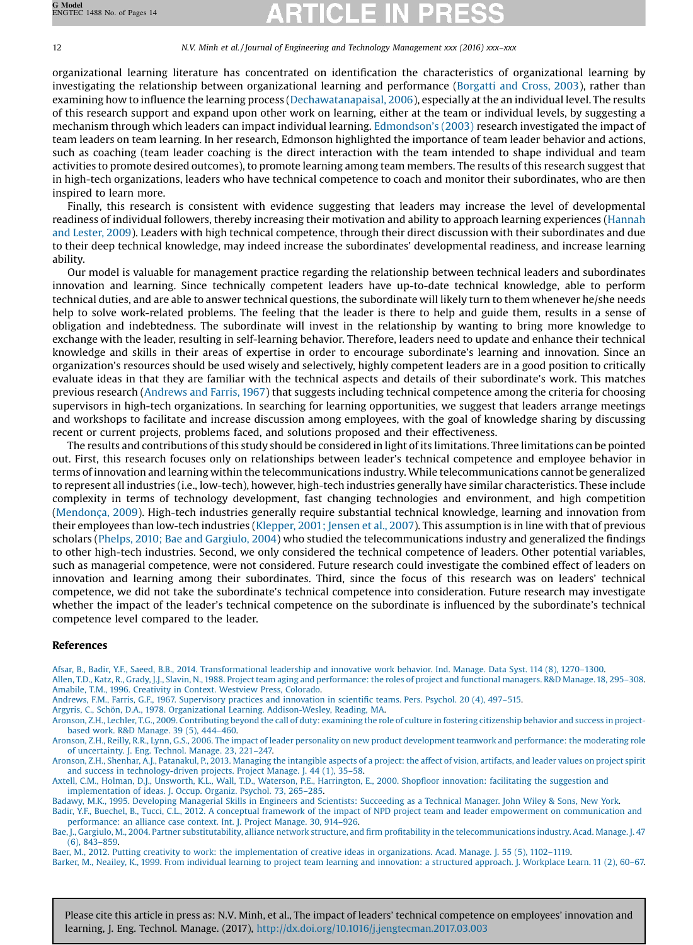organizational learning literature has concentrated on identification the characteristics of organizational learning by investigating the relationship between organizational learning and performance [\(Borgatti and Cross, 2003](#page-12-0)), rather than examining how to influence the learning process [\(Dechawatanapaisal, 2006\)](#page-12-0), especially at the an individual level. The results of this research support and expand upon other work on learning, either at the team or individual levels, by suggesting a mechanism through which leaders can impact individual learning. [Edmondson](#page-12-0)'s (2003) research investigated the impact of team leaders on team learning. In her research, Edmonson highlighted the importance of team leader behavior and actions, such as coaching (team leader coaching is the direct interaction with the team intended to shape individual and team activities to promote desired outcomes), to promote learning among team members. The results of this research suggest that in high-tech organizations, leaders who have technical competence to coach and monitor their subordinates, who are then inspired to learn more.

Finally, this research is consistent with evidence suggesting that leaders may increase the level of developmental readiness of individual followers, thereby increasing their motivation and ability to approach learning experiences ([Hannah](#page-12-0) [and Lester, 2009](#page-12-0)). Leaders with high technical competence, through their direct discussion with their subordinates and due to their deep technical knowledge, may indeed increase the subordinates' developmental readiness, and increase learning ability.

Our model is valuable for management practice regarding the relationship between technical leaders and subordinates innovation and learning. Since technically competent leaders have up-to-date technical knowledge, able to perform technical duties, and are able to answer technical questions, the subordinate will likely turn to them whenever he/she needs help to solve work-related problems. The feeling that the leader is there to help and guide them, results in a sense of obligation and indebtedness. The subordinate will invest in the relationship by wanting to bring more knowledge to exchange with the leader, resulting in self-learning behavior. Therefore, leaders need to update and enhance their technical knowledge and skills in their areas of expertise in order to encourage subordinate's learning and innovation. Since an organization's resources should be used wisely and selectively, highly competent leaders are in a good position to critically evaluate ideas in that they are familiar with the technical aspects and details of their subordinate's work. This matches previous research (Andrews and Farris, 1967) that suggests including technical competence among the criteria for choosing supervisors in high-tech organizations. In searching for learning opportunities, we suggest that leaders arrange meetings and workshops to facilitate and increase discussion among employees, with the goal of knowledge sharing by discussing recent or current projects, problems faced, and solutions proposed and their effectiveness.

The results and contributions of this study should be considered in light of its limitations. Three limitations can be pointed out. First, this research focuses only on relationships between leader's technical competence and employee behavior in terms of innovation and learning within the telecommunications industry. While telecommunications cannot be generalized to represent all industries (i.e., low-tech), however, high-tech industries generally have similar characteristics. These include complexity in terms of technology development, fast changing technologies and environment, and high competition [\(Mendonça, 2009](#page-13-0)). High-tech industries generally require substantial technical knowledge, learning and innovation from their employees than low-tech industries [\(Klepper, 2001; Jensen et al., 2007](#page-12-0)). This assumption is in line with that of previous scholars [\(Phelps, 2010; Bae and Gargiulo, 2004](#page-13-0)) who studied the telecommunications industry and generalized the findings to other high-tech industries. Second, we only considered the technical competence of leaders. Other potential variables, such as managerial competence, were not considered. Future research could investigate the combined effect of leaders on innovation and learning among their subordinates. Third, since the focus of this research was on leaders' technical competence, we did not take the subordinate's technical competence into consideration. Future research may investigate whether the impact of the leader's technical competence on the subordinate is influenced by the subordinate's technical competence level compared to the leader.

### References

[Afsar, B., Badir, Y.F., Saeed, B.B., 2014. Transformational leadership and innovative work behavior. Ind. Manage. Data Syst. 114 \(8\), 1270](http://refhub.elsevier.com/S0923-4748(17)30113-3/sbref0005)–1300. [Allen, T.D., Katz, R., Grady, J.J., Slavin, N., 1988. Project team aging and performance: the roles of project and functional managers. R&D Manage. 18, 295](http://refhub.elsevier.com/S0923-4748(17)30113-3/sbref0010)–308.

[Amabile, T.M., 1996. Creativity in Context. Westview Press, Colorado.](http://refhub.elsevier.com/S0923-4748(17)30113-3/sbref0015)

[Andrews, F.M., Farris, G.F., 1967. Supervisory practices and innovation in scienti](http://refhub.elsevier.com/S0923-4748(17)30113-3/sbref0020)fic teams. Pers. Psychol. 20 (4), 497–515.

[Argyris, C., Schön, D.A., 1978. Organizational Learning. Addison-Wesley, Reading, MA.](http://refhub.elsevier.com/S0923-4748(17)30113-3/sbref0025)

[Aronson, Z.H., Lechler, T.G., 2009. Contributing beyond the call of duty: examining the role of culture in fostering citizenship behavior and success in project](http://refhub.elsevier.com/S0923-4748(17)30113-3/sbref0030)[based work. R&D Manage. 39 \(5\), 444](http://refhub.elsevier.com/S0923-4748(17)30113-3/sbref0030)–460.

[Aronson, Z.H., Reilly, R.R., Lynn, G.S., 2006. The impact of leader personality on new product development teamwork and performance: the moderating](http://refhub.elsevier.com/S0923-4748(17)30113-3/sbref0035) role [of uncertainty. J. Eng. Technol. Manage. 23, 221](http://refhub.elsevier.com/S0923-4748(17)30113-3/sbref0035)–247.

[Aronson, Z.H., Shenhar, A.J., Patanakul, P., 2013. Managing the intangible aspects of a project: the affect of vision, artifacts, and leader values on project spirit](http://refhub.elsevier.com/S0923-4748(17)30113-3/sbref0040) [and success in technology-driven projects. Project Manage. J. 44 \(1\), 35](http://refhub.elsevier.com/S0923-4748(17)30113-3/sbref0040)–58.

[Axtell, C.M., Holman, D.J., Unsworth, K.L., Wall, T.D., Waterson, P.E., Harrington, E., 2000. Shop](http://refhub.elsevier.com/S0923-4748(17)30113-3/sbref0045)floor innovation: facilitating the suggestion and [implementation of ideas. J. Occup. Organiz. Psychol. 73, 265](http://refhub.elsevier.com/S0923-4748(17)30113-3/sbref0045)–285.

[Badawy, M.K., 1995. Developing Managerial Skills in Engineers and Scientists: Succeeding as a Technical Manager. John Wiley & Sons, New York](http://refhub.elsevier.com/S0923-4748(17)30113-3/sbref0050). [Badir, Y.F., Buechel, B., Tucci, C.L., 2012. A conceptual framework of the impact of NPD project team and leader empowerment on communication and](http://refhub.elsevier.com/S0923-4748(17)30113-3/sbref0055)

[performance: an alliance case context. Int. J. Project Manage. 30, 914](http://refhub.elsevier.com/S0923-4748(17)30113-3/sbref0055)–926.

[Bae, J., Gargiulo, M., 2004. Partner substitutability, alliance network structure, and](http://refhub.elsevier.com/S0923-4748(17)30113-3/sbref0060) firm profitability in the telecommunications industry. Acad. Manage. J. 47 [\(6\), 843](http://refhub.elsevier.com/S0923-4748(17)30113-3/sbref0060)–859.

[Baer, M., 2012. Putting creativity to work: the implementation of creative ideas in organizations. Acad. Manage. J. 55 \(5\), 1102](http://refhub.elsevier.com/S0923-4748(17)30113-3/sbref0065)–1119.

[Barker, M., Neailey, K., 1999. From individual learning to project team learning and innovation: a structured approach. J. Workplace Learn. 11 \(2\), 60](http://refhub.elsevier.com/S0923-4748(17)30113-3/sbref0070)–67.

<span id="page-11-0"></span>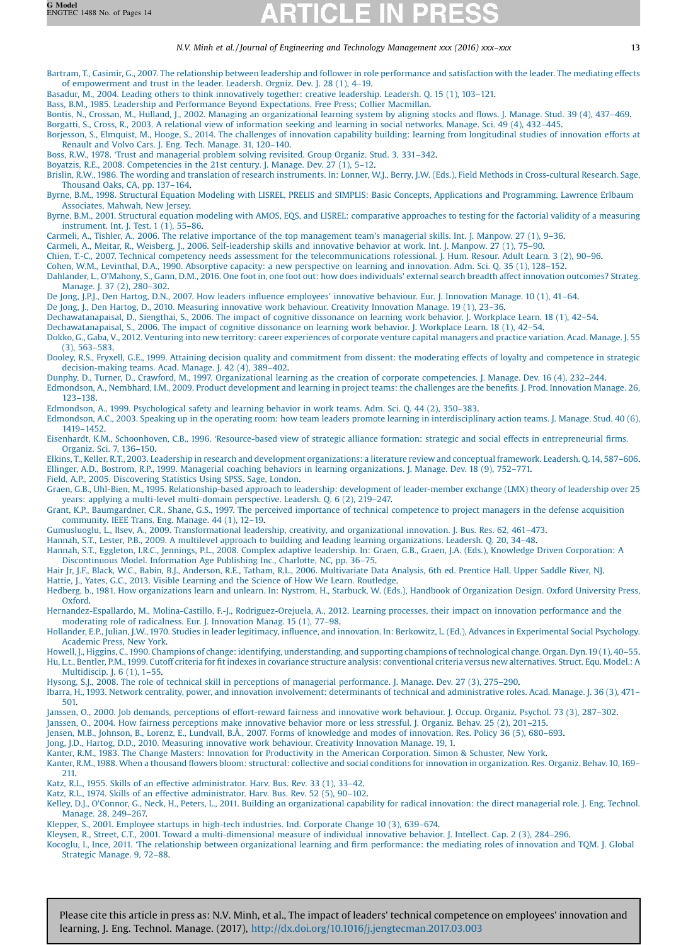<span id="page-12-0"></span>[Basadur, M., 2004. Leading others to think innovatively together: creative leadership. Leadersh. Q. 15 \(1\), 103](http://refhub.elsevier.com/S0923-4748(17)30113-3/sbref0080)–121.

[Bass, B.M., 1985. Leadership and Performance Beyond Expectations. Free Press; Collier Macmillan](http://refhub.elsevier.com/S0923-4748(17)30113-3/sbref0085).

[Bontis, N., Crossan, M., Hulland, J., 2002. Managing an organizational learning system by aligning stocks and](http://refhub.elsevier.com/S0923-4748(17)30113-3/sbref0090) flows. J. Manage. Stud. 39 (4), 437–469. [Borgatti, S., Cross, R., 2003. A relational view of information seeking and learning in social networks. Manage. Sci. 49 \(4\), 432](http://refhub.elsevier.com/S0923-4748(17)30113-3/sbref0095)–445.

[Borjesson, S., Elmquist, M., Hooge, S., 2014. The challenges of innovation capability building: learning from longitudinal studies of innovation efforts at](http://refhub.elsevier.com/S0923-4748(17)30113-3/sbref0100) [Renault and Volvo Cars. J. Eng. Tech. Manage. 31, 120](http://refhub.elsevier.com/S0923-4748(17)30113-3/sbref0100)–140.

Boss, R.W., 1978. '[Trust and managerial problem solving revisited. Group Organiz. Stud. 3, 331](http://refhub.elsevier.com/S0923-4748(17)30113-3/sbref0105)–342.

[Boyatzis, R.E., 2008. Competencies in the 21st century. J. Manage. Dev. 27 \(1\), 5](http://refhub.elsevier.com/S0923-4748(17)30113-3/sbref0110)–12.

[Brislin, R.W., 1986. The wording and translation of research instruments. In: Lonner, W.J., Berry, J.W. \(Eds.\), Field Methods in Cross-cultural Research. Sage,](http://refhub.elsevier.com/S0923-4748(17)30113-3/sbref0115) [Thousand Oaks, CA, pp. 137](http://refhub.elsevier.com/S0923-4748(17)30113-3/sbref0115)–164.

[Byrne, B.M., 1998. Structural Equation Modeling with LISREL, PRELIS and SIMPLIS: Basic Concepts, Applications and Programming. Lawrence Erlbaum](http://refhub.elsevier.com/S0923-4748(17)30113-3/sbref0120) [Associates, Mahwah, New Jersey.](http://refhub.elsevier.com/S0923-4748(17)30113-3/sbref0120)

[Byrne, B.M., 2001. Structural equation modeling with AMOS, EQS, and LISREL: comparative approaches to testing for the factorial validity of a measuring](http://refhub.elsevier.com/S0923-4748(17)30113-3/sbref0125) [instrument. Int. J. Test. 1 \(1\), 55](http://refhub.elsevier.com/S0923-4748(17)30113-3/sbref0125)–86.

[Carmeli, A., Tishler, A., 2006. The relative importance of the top management team's managerial skills. Int. J. Manpow. 27 \(1\), 9](http://refhub.elsevier.com/S0923-4748(17)30113-3/sbref0130)–36.

[Carmeli, A., Meitar, R., Weisberg, J., 2006. Self-leadership skills and innovative behavior at work. Int. J. Manpow. 27 \(1\), 75](http://refhub.elsevier.com/S0923-4748(17)30113-3/sbref0135)–90.<br>Chien, T.-C., 2007. Technical competency needs assessment for the telecommunications rofes

[Cohen, W.M., Levinthal, D.A., 1990. Absorptive capacity: a new perspective on learning and innovation. Adm. Sci. Q. 35 \(1\), 128](http://refhub.elsevier.com/S0923-4748(17)30113-3/sbref0145)–152.

Dahlander, L., O'[Mahony, S., Gann, D.M., 2016. One foot in, one foot out: how does individuals' external search breadth affect innovation outcomes? Strateg.](http://refhub.elsevier.com/S0923-4748(17)30113-3/sbref0150) Manage. J. [37 \(2\), 280](http://refhub.elsevier.com/S0923-4748(17)30113-3/sbref0150)–302.

De Jong, J.P.J., Den Hartog, D.N., 2007. How leaders influence employees' [innovative behaviour. Eur. J. Innovation Manage. 10 \(1\), 41](http://refhub.elsevier.com/S0923-4748(17)30113-3/sbref0155)–64.

[De Jong, J., Den Hartog, D., 2010. Measuring innovative work behaviour. Creativity Innovation Manage. 19 \(1\), 23](http://refhub.elsevier.com/S0923-4748(17)30113-3/sbref0160)–36.

[Dechawatanapaisal, D., Siengthai, S., 2006. The impact of cognitive dissonance on learning work behavior. J. Workplace Learn. 18 \(1\), 42](http://refhub.elsevier.com/S0923-4748(17)30113-3/sbref0165)–54.

[Dechawatanapaisal, S., 2006. The impact of cognitive dissonance on learning work behavior. J. Workplace Learn. 18 \(1\), 42](http://refhub.elsevier.com/S0923-4748(17)30113-3/sbref0170)–54.

[Dokko, G., Gaba, V., 2012. Venturing into new territory: career experiences of corporate venture capital managers and practice variation. Acad. Manage. J. 55](http://refhub.elsevier.com/S0923-4748(17)30113-3/sbref0175) [\(3\), 563](http://refhub.elsevier.com/S0923-4748(17)30113-3/sbref0175)–583.

[Dooley, R.S., Fryxell, G.E., 1999. Attaining decision quality and commitment from dissent: the moderating effects of loyalty and competence in strategic](http://refhub.elsevier.com/S0923-4748(17)30113-3/sbref0180) [decision-making teams. Acad. Manage. J. 42 \(4\), 389](http://refhub.elsevier.com/S0923-4748(17)30113-3/sbref0180)–402.

[Dunphy, D., Turner, D., Crawford, M., 1997. Organizational learning as the creation of corporate competencies. J. Manage. Dev. 16 \(4\), 232](http://refhub.elsevier.com/S0923-4748(17)30113-3/sbref0185)–244. [Edmondson, A., Nembhard, I.M., 2009. Product development and learning in project teams: the challenges are the bene](http://refhub.elsevier.com/S0923-4748(17)30113-3/sbref0190)fits. J. Prod. Innovation Manage. 26, 123–[138](http://refhub.elsevier.com/S0923-4748(17)30113-3/sbref0190).

[Edmondson, A., 1999. Psychological safety and learning behavior in work teams. Adm. Sci. Q. 44 \(2\), 350](http://refhub.elsevier.com/S0923-4748(17)30113-3/sbref0195)–383.

[Edmondson, A.C., 2003. Speaking up in the operating room: how team leaders promote learning in interdisciplinary action teams. J. Manage. Stud. 40 \(6\),](http://refhub.elsevier.com/S0923-4748(17)30113-3/sbref0200) 1419–[1452.](http://refhub.elsevier.com/S0923-4748(17)30113-3/sbref0200)

Eisenhardt, K.M., Schoonhoven, C.B., 1996. '[Resource-based view of strategic alliance formation: strategic and social effects in entrepreneurial](http://refhub.elsevier.com/S0923-4748(17)30113-3/sbref0205) firms. [Organiz. Sci. 7, 136](http://refhub.elsevier.com/S0923-4748(17)30113-3/sbref0205)–150.

[Elkins, T., Keller, R.T., 2003. Leadership in research and development organizations: a literature review and conceptual framework. Leadersh. Q. 14, 587](http://refhub.elsevier.com/S0923-4748(17)30113-3/sbref0210)–606. [Ellinger, A.D., Bostrom, R.P., 1999. Managerial coaching behaviors in learning organizations. J. Manage. Dev. 18 \(9\), 752](http://refhub.elsevier.com/S0923-4748(17)30113-3/sbref0215)–771.

[Field, A.P., 2005. Discovering Statistics Using SPSS. Sage, London.](http://refhub.elsevier.com/S0923-4748(17)30113-3/sbref0220)

[Graen, G.B., Uhl-Bien, M., 1995. Relationship-based approach to leadership: development of leader-member exchange \(LMX\) theory of leadership over 25](http://refhub.elsevier.com/S0923-4748(17)30113-3/sbref0225) [years: applying a multi-level multi-domain perspective. Leadersh. Q. 6 \(2\), 219](http://refhub.elsevier.com/S0923-4748(17)30113-3/sbref0225)–247.

[Grant, K.P., Baumgardner, C.R., Shane, G.S., 1997. The perceived importance of technical competence to project managers in the defense acquisition](http://refhub.elsevier.com/S0923-4748(17)30113-3/sbref0230) [community. IEEE Trans. Eng. Manage. 44 \(1\), 12](http://refhub.elsevier.com/S0923-4748(17)30113-3/sbref0230)–19.

[Gumusluoglu, L., Ilsev, A., 2009. Transformational leadership, creativity, and organizational innovation. J. Bus. Res. 62, 461](http://refhub.elsevier.com/S0923-4748(17)30113-3/sbref0235)–473.

[Hannah, S.T., Lester, P.B., 2009. A multilevel approach to building and leading learning organizations. Leadersh. Q. 20, 34](http://refhub.elsevier.com/S0923-4748(17)30113-3/sbref0240)–48.

[Hannah, S.T., Eggleton, I.R.C., Jennings, P.L., 2008. Complex adaptive leadership. In: Graen, G.B., Graen, J.A. \(Eds.\), Knowledge Driven Corporation: A](http://refhub.elsevier.com/S0923-4748(17)30113-3/sbref0245) [Discontinuous Model. Information Age Publishing Inc., Charlotte, NC, pp. 36](http://refhub.elsevier.com/S0923-4748(17)30113-3/sbref0245)–75.

[Hair Jr, J.F., Black, W.C., Babin, B.J., Anderson, R.E., Tatham, R.L., 2006. Multivariate Data Analysis, 6th ed. Prentice Hall, Upper Saddle River, NJ](http://refhub.elsevier.com/S0923-4748(17)30113-3/sbref0250).

[Hattie, J., Yates, G.C., 2013. Visible Learning and the Science of How We Learn. Routledge](http://refhub.elsevier.com/S0923-4748(17)30113-3/sbref0255). [Hedberg, b., 1981. How organizations learn and unlearn. In: Nystrom, H., Starbuck, W. \(Eds.\), Handbook of Organization Design. Oxford University Press,](http://refhub.elsevier.com/S0923-4748(17)30113-3/sbref0260) [Oxford.](http://refhub.elsevier.com/S0923-4748(17)30113-3/sbref0260)

[Hernandez-Espallardo, M., Molina-Castillo, F.-J., Rodriguez-Orejuela, A., 2012. Learning processes, their impact on innovation performance and the](http://refhub.elsevier.com/S0923-4748(17)30113-3/sbref0265) [moderating role of radicalness. Eur. J. Innovation Manag. 15 \(1\), 77](http://refhub.elsevier.com/S0923-4748(17)30113-3/sbref0265)–98.

Hollander, E.P., Julian, J.W., 1970. Studies in leader legitimacy, infl[uence, and innovation. In: Berkowitz, L. \(Ed.\), Advances in Experimental Social Psychology.](http://refhub.elsevier.com/S0923-4748(17)30113-3/sbref0270) [Academic Press, New York](http://refhub.elsevier.com/S0923-4748(17)30113-3/sbref0270).

[Howell, J., Higgins, C., 1990. Champions of change: identifying, understanding, and supporting champions of technological change. Organ. Dyn.19 \(1\), 40](http://refhub.elsevier.com/S0923-4748(17)30113-3/sbref0275)–55. Hu, L.t., Bentler, P.M.,1999. Cutoff criteria for fi[t indexes in covariance structure analysis: conventional criteria versus new alternatives. Struct. Equ. Model.: A](http://refhub.elsevier.com/S0923-4748(17)30113-3/sbref0280) [Multidiscip. J. 6 \(1\), 1](http://refhub.elsevier.com/S0923-4748(17)30113-3/sbref0280)–55.

[Hysong, S.J., 2008. The role of technical skill in perceptions of managerial performance. J. Manage. Dev. 27 \(3\), 275](http://refhub.elsevier.com/S0923-4748(17)30113-3/sbref0285)–290.

[Ibarra, H., 1993. Network centrality, power, and innovation involvement: determinants of technical and administrative roles. Acad. Manage. J. 36 \(3\), 471](http://refhub.elsevier.com/S0923-4748(17)30113-3/sbref0290)– [501.](http://refhub.elsevier.com/S0923-4748(17)30113-3/sbref0290)

[Janssen, O., 2000. Job demands, perceptions of effort-reward fairness and innovative work behaviour. J. Occup. Organiz. Psychol. 73 \(3\), 287](http://refhub.elsevier.com/S0923-4748(17)30113-3/sbref0295)–302.

[Janssen, O., 2004. How fairness perceptions make innovative behavior more or less stressful. J. Organiz. Behav. 25 \(2\), 201](http://refhub.elsevier.com/S0923-4748(17)30113-3/sbref0300)–215.

[Jensen, M.B., Johnson, B., Lorenz, E., Lundvall, B.Å., 2007. Forms of knowledge and modes of innovation. Res. Policy 36 \(5\), 680](http://refhub.elsevier.com/S0923-4748(17)30113-3/sbref0305)–693.

[Jong, J.D., Hartog, D.D., 2010. Measuring innovative work behaviour. Creativity Innovation Manage. 19, 1.](http://refhub.elsevier.com/S0923-4748(17)30113-3/sbref0310)

[Kanter, R.M., 1983. The Change Masters: Innovation for Productivity in the American Corporation. Simon & Schuster, New York.](http://refhub.elsevier.com/S0923-4748(17)30113-3/sbref0315)

Kanter, R.M., 1988. When a thousand fl[owers bloom: structural: collective and social conditions for innovation in organization. Res. Organiz. Behav. 10, 169](http://refhub.elsevier.com/S0923-4748(17)30113-3/sbref0320)– [211.](http://refhub.elsevier.com/S0923-4748(17)30113-3/sbref0320)

[Katz, R.L., 1955. Skills of an effective administrator. Harv. Bus. Rev. 33 \(1\), 33](http://refhub.elsevier.com/S0923-4748(17)30113-3/sbref0325)–42.

[Katz, R.L., 1974. Skills of an effective administrator. Harv. Bus. Rev. 52 \(5\), 90](http://refhub.elsevier.com/S0923-4748(17)30113-3/sbref0330)–102.

[Kelley, D.J., O'Connor, G., Neck, H., Peters, L., 2011. Building an organizational capability for radical innovation: the direct managerial role. J. Eng. Technol.](http://refhub.elsevier.com/S0923-4748(17)30113-3/sbref0335) [Manage. 28, 249](http://refhub.elsevier.com/S0923-4748(17)30113-3/sbref0335)–267.

[Klepper, S., 2001. Employee startups in high-tech industries. Ind. Corporate Change 10 \(3\), 639](http://refhub.elsevier.com/S0923-4748(17)30113-3/sbref0340)–674.

[Kleysen, R., Street, C.T., 2001. Toward a multi-dimensional measure of individual innovative behavior. J. Intellect. Cap. 2 \(3\), 284](http://refhub.elsevier.com/S0923-4748(17)30113-3/sbref0345)–296.

Kocoglu, I., Ince, 2011. 'The relationship between organizational learning and fi[rm performance: the mediating roles of innovation and TQM. J. Global](http://refhub.elsevier.com/S0923-4748(17)30113-3/sbref0350) [Strategic Manage. 9, 72](http://refhub.elsevier.com/S0923-4748(17)30113-3/sbref0350)–88.